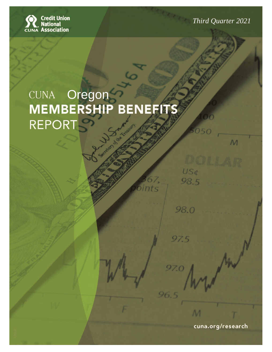**Mid Year 2017** *Third Quarter 2021*

50

US¢

98.5

98.0

97.5

97.0

96.5

 $\mathcal{M}$ 

# $F \circ T$ **Oregon** Oregon

**Oregon**

Prepared by: CUNA Economics and Statistics

cuna.org/research

M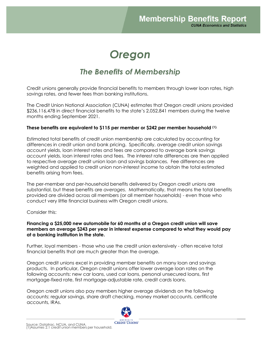## *Oregon*

#### *The Benefits of Membership*

Credit unions generally provide financial benefits to members through lower loan rates, high savings rates, and fewer fees than banking institutions.

The Credit Union National Association (CUNA) estimates that Oregon credit unions provided \$236,116,478 in direct financial benefits to the state's 2,052,841 members during the twelve months ending September 2021.

#### **These benefits are equivalent to \$115 per member or \$242 per member household (1).**

Estimated total benefits of credit union membership are calculated by accounting for differences in credit union and bank pricing. Specifically, average credit union savings account yields, loan interest rates and fees are compared to average bank savings account yields, loan interest rates and fees. The interest rate differences are then applied to respective average credit union loan and savings balances. Fee differences are weighted and applied to credit union non-interest income to obtain the total estimated benefits arising from fees.

The per-member and per-household benefits delivered by Oregon credit unions are substantial, but these benefits are *averages*. Mathematically, that means the total benefits provided are divided across all members (or all member households) - even those who conduct very little financial business with Oregon credit unions.

Consider this:

**Financing <sup>a</sup> \$25,000 new automobile for 60 months at a Oregon credit union will save members an average \$243 per year in interest expense compared to what they would pay at a banking institution in the state.**

Further, loyal members - those who use the credit union extensively - often receive total financial benefits that are much greater than the average.

Oregon credit unions excel in providing member benefits on many loan and savings products. In particular, Oregon credit unions offer lower average loan rates on the following accounts: new car loans, used car loans, personal unsecured loans, first mortgage-fixed rate, first mortgage-adjustable rate, credit cards loans.

Oregon credit unions also pay members higher average dividends on the following accounts: regular savings, share draft checking, money market accounts, certificate accounts, IRAs.



Source: Datatrac, NCUA, and CUNA. (1)Assumes 2.1 credit union members per household.

**CREDIT UNIONS**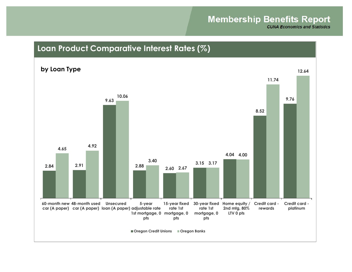## **Membership Benefits Report**

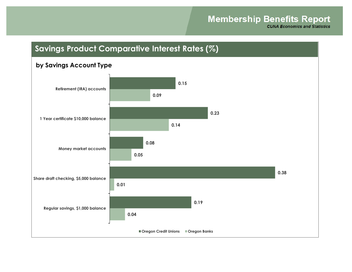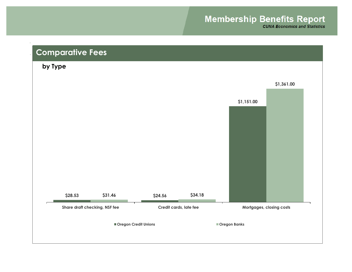## **Membership Benefits Report**

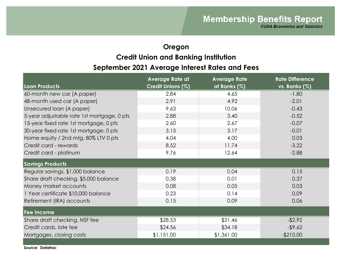## **Oregon September 2021 Average Interest Rates and Fees Credit Union and Banking Institution**

| Loan Products                              | <b>Average Rate at</b><br>Credit Unions (%) | <b>Average Rate</b><br>at Banks (%) | <b>Rate Difference</b><br>vs. Banks (%) |
|--------------------------------------------|---------------------------------------------|-------------------------------------|-----------------------------------------|
| 60-month new car (A paper)                 | 2.84                                        | 4.65                                | $-1.80$                                 |
| 48-month used car (A paper)                | 2.91                                        | 4.92                                | $-2.01$                                 |
| Unsecured loan (A paper)                   | 9.63                                        | 10.06                               | $-0.43$                                 |
| 5-year adjustable rate 1st mortgage, 0 pts | 2.88                                        | 3.40                                | $-0.52$                                 |
| 15-year fixed rate 1st mortgage, 0 pts     | 2.60                                        | 2.67                                | $-0.07$                                 |
| 30-year fixed rate 1st mortgage, 0 pts     | 3.15                                        | 3.17                                | $-0.01$                                 |
| Home equity / 2nd mtg, 80% LTV 0 pts       | 4.04                                        | 4.00                                | 0.03                                    |
| Credit card - rewards                      | 8.52                                        | 11.74                               | $-3.22$                                 |
| Credit card - platinum                     | 9.76                                        | 12.64                               | $-2.88$                                 |
| <b>Savings Products</b>                    |                                             |                                     |                                         |
| Regular savings, \$1,000 balance           | 0.19                                        | 0.04                                | 0.15                                    |
| Share draft checking, \$5,000 balance      | 0.38                                        | 0.01                                | 0.37                                    |
| Money market accounts                      | 0.08                                        | 0.05                                | 0.03                                    |
| 1 Year certificate \$10,000 balance        | 0.23                                        | 0.14                                | 0.09                                    |
| Retirement (IRA) accounts                  | 0.15                                        | 0.09                                | 0.06                                    |
| Fee Income                                 |                                             |                                     |                                         |
| Share draft checking, NSF fee              | \$28.53                                     | \$31.46                             | $-$ \$2.92                              |
| Credit cards, late fee                     | \$24.56                                     | \$34.18                             | $-$ \$9.62                              |
| Mortgages, closing costs                   | \$1,151.00                                  | \$1,361.00                          | $-$210.00$                              |
|                                            |                                             |                                     |                                         |

**Source: Datatrac**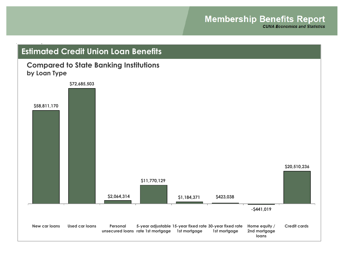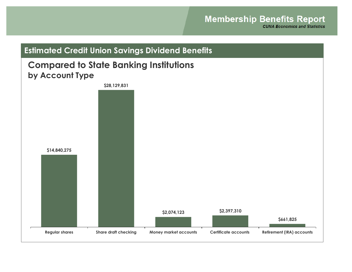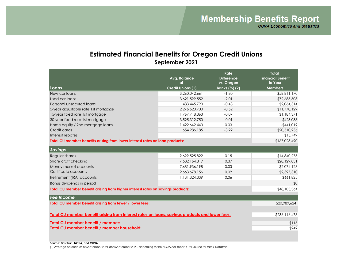#### **Estimated Financial Benefits for Oregon Credit Unions September 2021**

|                                                                                                | Avg. Balance<br>at       | Rate<br><b>Difference</b><br>vs. Oregon | <b>Total</b><br><b>Financial Benefit</b><br>to Your |
|------------------------------------------------------------------------------------------------|--------------------------|-----------------------------------------|-----------------------------------------------------|
| Loans                                                                                          | <b>Credit Unions (1)</b> | Banks (%) (2)                           | <b>Members</b>                                      |
| New car loans                                                                                  | 3,260,042,661            | $-1.80$                                 | \$58,811,170                                        |
| Used car loans                                                                                 | 3,621,599,552            | $-2.01$                                 | \$72,685,503                                        |
| Personal unsecured loans                                                                       | 483,445,790              | $-0.43$                                 | \$2,064,314                                         |
| 5-year adjustable rate 1st mortgage                                                            | 2,276,620,700            | $-0.52$                                 | \$11,770,129                                        |
| 15-year fixed rate 1st mortgage                                                                | 1,767,718,363            | $-0.07$                                 | \$1,184,371                                         |
| 30-year fixed rate 1st mortgage                                                                | 3,525,312,750            | $-0.01$                                 | \$423,038                                           |
| Home equity / 2nd mortgage loans                                                               | 1,422,642,440            | 0.03                                    | $-$441,019$                                         |
| Credit cards                                                                                   | 654,286,185              | $-3.22$                                 | \$20,510,236                                        |
| Interest rebates                                                                               |                          |                                         | \$15,749                                            |
| Total CU member benefits arising from lower interest rates on loan products:                   |                          |                                         | \$167,023,490                                       |
| <b>Savings</b>                                                                                 |                          |                                         |                                                     |
| Regular shares                                                                                 | 9,699,525,822            | 0.15                                    | \$14,840,275                                        |
| Share draft checking                                                                           | 7,582,164,819            | 0.37                                    | \$28,129,831                                        |
| Money market accounts                                                                          | 7,681,936,198            | 0.03                                    | \$2,074,123                                         |
| Certificate accounts                                                                           | 2,663,678,156            | 0.09                                    | \$2,397,310                                         |
| Retirement (IRA) accounts                                                                      | 1,131,324,339            | 0.06                                    | \$661,825                                           |
| Bonus dividends in period                                                                      |                          |                                         | \$0                                                 |
| Total CU member benefit arising from higher interest rates on savings products:                | \$48,103,364             |                                         |                                                     |
| <b>Fee Income</b>                                                                              |                          |                                         |                                                     |
| Total CU member benefit arising from fewer / lower fees:                                       |                          |                                         | \$20,989,624                                        |
|                                                                                                |                          |                                         |                                                     |
| Total CU member benefit arising from interest rates on loans, savings products and lower fees: | \$236,116,478            |                                         |                                                     |
| Total CU member benefit / member:                                                              | \$115                    |                                         |                                                     |
| Total CU member benefit / member household:                                                    | \$242                    |                                         |                                                     |
|                                                                                                |                          |                                         |                                                     |
|                                                                                                |                          |                                         |                                                     |

**Source: Datatrac, NCUA, and CUNA**

(1) Average balance as of September 2021 and September 2020, according to the NCUA call report.; (2) Source for rates: Datatrac;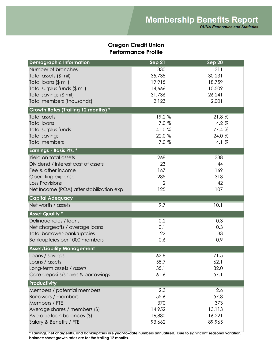#### **Oregon Credit Union Performance Profile**

| <b>Demographic Information</b>           | Sep 21         | Sep 20  |
|------------------------------------------|----------------|---------|
| Number of branches                       | 330            | 311     |
| Total assets (\$ mil)                    | 35,735         | 30,231  |
| Total loans (\$ mil)                     | 19,915         | 18,759  |
| Total surplus funds (\$ mil)             | 14,666         | 10,509  |
| Total savings (\$ mil)                   | 31,736         | 26,241  |
| Total members (thousands)                | 2,123          | 2,001   |
| Growth Rates (Trailing 12 months) *      |                |         |
| <b>Total assets</b>                      | 19.2 %         | 21.8%   |
| <b>Total loans</b>                       | 7.0 %          | $4.2\%$ |
| Total surplus funds                      | 41.0%          | 77.4 %  |
| Total savings                            | 22.0 %         | 24.0 %  |
| <b>Total members</b>                     | 7.0 %          | 4.1 %   |
| <b>Earnings - Basis Pts. *</b>           |                |         |
| Yield on total assets                    | 268            | 338     |
| Dividend / interest cost of assets       | 23             | 44      |
| Fee & other income                       | 167            | 169     |
| Operating expense                        | 285            | 313     |
| Loss Provisions                          | $\overline{2}$ | 42      |
| Net Income (ROA) after stabilization exp | 125            | 107     |
| <b>Capital Adequacy</b>                  |                |         |
| Net worth / assets                       | 9.7            | 10.1    |
| <b>Asset Quality *</b>                   |                |         |
| Delinquencies / Ioans                    | 0.2            | 0.3     |
| Net chargeoffs / average loans           | 0.1            | 0.3     |
| <b>Total borrower-bankruptcies</b>       | 22             | 33      |
| Bankruptcies per 1000 members            | 0.6            | 0.9     |
| <b>Asset/Liability Management</b>        |                |         |
| Loans / savings                          | 62.8           | 71.5    |
| Loans / assets                           | 55.7           | 62.1    |
| Long-term assets / assets                | 35.1           | 32.0    |
| Core deposits/shares & borrowings        | 61.6           | 57.1    |
| <b>Productivity</b>                      |                |         |
| Members / potential members              | 2.3            | 2.6     |
| Borrowers / members                      | 55.6           | 57.8    |
| Members / FTE                            | 370            | 373     |
| Average shares / members (\$)            | 14,952         | 13,113  |
| Average loan balances (\$)               | 16,880         | 16,221  |
| Salary & Benefits / FTE                  | 93,662         | 89,965  |

**\* Earnings, net chargeoffs, and bankruptcies are year-to-date numbers annualized. Due to significant seasonal variation, balance sheet growth rates are for the trailing 12 months.**